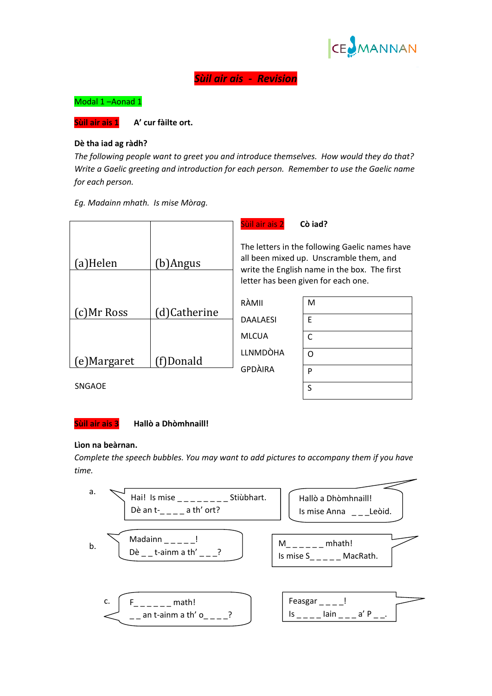

# *Sùil air ais ‐ Revision*

Modal 1 –Aonad 1

**Sùil air ais 1 A' cur fàilte ort.** 

### **Dè tha iad ag ràdh?**

*The following people want to greet you and introduce themselves. How would they do that? Write a Gaelic greeting and introduction for each person. Remember to use the Gaelic name for each person.* 

*Eg. Madainn mhath. Is mise Mòrag.* 

|            |             | Sùil air ais 2                                                                                                                                                                   | Cò iad? |
|------------|-------------|----------------------------------------------------------------------------------------------------------------------------------------------------------------------------------|---------|
| a)Helen    | b)Angus     | The letters in the following Gaelic names have<br>all been mixed up. Unscramble them, and<br>write the English name in the box. The first<br>letter has been given for each one. |         |
| c)Mr Ross  | d)Catherine | RÀMII                                                                                                                                                                            | M       |
|            |             | <b>DAALAESI</b>                                                                                                                                                                  | E       |
|            |             | <b>MLCUA</b>                                                                                                                                                                     | C       |
| e)Margaret | f)Donald    | <b>LLNMDÒHA</b>                                                                                                                                                                  | $\circ$ |
|            |             | <b>GPDÀIRA</b>                                                                                                                                                                   | P       |

SNGAOE

#### **Sùil air ais 3 Hallò a Dhòmhnaill!**

#### **Lìon na beàrnan.**

*Complete the speech bubbles. You may want to add pictures to accompany them if you have time.*

S